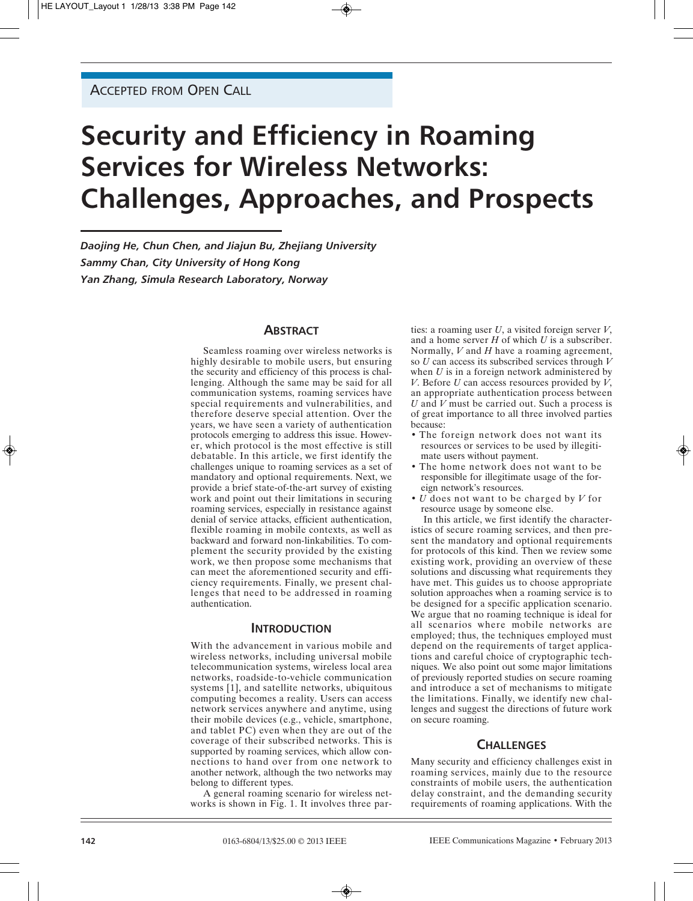# **Security and Efficiency in Roaming Services for Wireless Networks: Challenges, Approaches, and Prospects**

*Daojing He, Chun Chen, and Jiajun Bu, Zhejiang University Sammy Chan, City University of Hong Kong Yan Zhang, Simula Research Laboratory, Norway*

# **ABSTRACT**

Seamless roaming over wireless networks is highly desirable to mobile users, but ensuring the security and efficiency of this process is challenging. Although the same may be said for all communication systems, roaming services have special requirements and vulnerabilities, and therefore deserve special attention. Over the years, we have seen a variety of authentication protocols emerging to address this issue. However, which protocol is the most effective is still debatable. In this article, we first identify the challenges unique to roaming services as a set of mandatory and optional requirements. Next, we provide a brief state-of-the-art survey of existing work and point out their limitations in securing roaming services, especially in resistance against denial of service attacks, efficient authentication, flexible roaming in mobile contexts, as well as backward and forward non-linkabilities. To complement the security provided by the existing work, we then propose some mechanisms that can meet the aforementioned security and efficiency requirements. Finally, we present challenges that need to be addressed in roaming authentication.

## **INTRODUCTION**

With the advancement in various mobile and wireless networks, including universal mobile telecommunication systems, wireless local area networks, roadside-to-vehicle communication systems [1], and satellite networks, ubiquitous computing becomes a reality. Users can access network services anywhere and anytime, using their mobile devices (e.g., vehicle, smartphone, and tablet PC) even when they are out of the coverage of their subscribed networks. This is supported by roaming services, which allow connections to hand over from one network to another network, although the two networks may belong to different types.

A general roaming scenario for wireless networks is shown in Fig. 1. It involves three parties: a roaming user *U*, a visited foreign server *V*, and a home server *H* of which *U* is a subscriber. Normally, *V* and *H* have a roaming agreement, so *U* can access its subscribed services through *V* when *U* is in a foreign network administered by *V*. Before *U* can access resources provided by *V*, an appropriate authentication process between *U* and *V* must be carried out. Such a process is of great importance to all three involved parties because:

- The foreign network does not want its resources or services to be used by illegitimate users without payment.
- The home network does not want to be responsible for illegitimate usage of the foreign network's resources.
- *U* does not want to be charged by *V* for resource usage by someone else.

In this article, we first identify the characteristics of secure roaming services, and then present the mandatory and optional requirements for protocols of this kind. Then we review some existing work, providing an overview of these solutions and discussing what requirements they have met. This guides us to choose appropriate solution approaches when a roaming service is to be designed for a specific application scenario. We argue that no roaming technique is ideal for all scenarios where mobile networks are employed; thus, the techniques employed must depend on the requirements of target applications and careful choice of cryptographic techniques. We also point out some major limitations of previously reported studies on secure roaming and introduce a set of mechanisms to mitigate the limitations. Finally, we identify new challenges and suggest the directions of future work on secure roaming.

# **CHALLENGES**

Many security and efficiency challenges exist in roaming services, mainly due to the resource constraints of mobile users, the authentication delay constraint, and the demanding security requirements of roaming applications. With the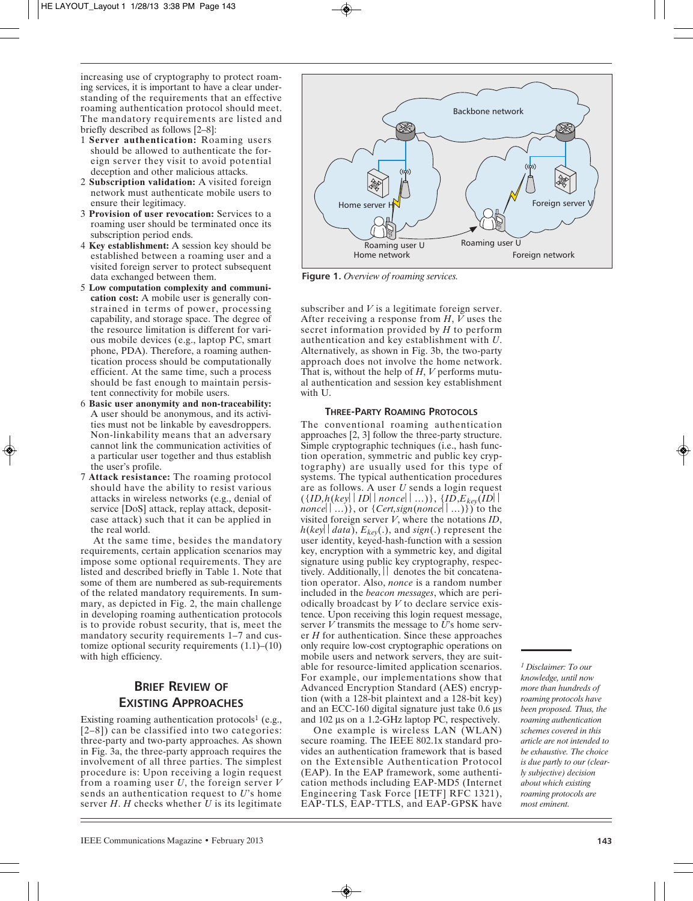increasing use of cryptography to protect roaming services, it is important to have a clear understanding of the requirements that an effective roaming authentication protocol should meet. The mandatory requirements are listed and briefly described as follows [2–8]:

- 1 **Server authentication:** Roaming users should be allowed to authenticate the foreign server they visit to avoid potential deception and other malicious attacks.
- 2 **Subscription validation:** A visited foreign network must authenticate mobile users to ensure their legitimacy.
- 3 **Provision of user revocation:** Services to a roaming user should be terminated once its subscription period ends.
- 4 **Key establishment:** A session key should be established between a roaming user and a visited foreign server to protect subsequent data exchanged between them.
- 5 **Low computation complexity and communication cost:** A mobile user is generally constrained in terms of power, processing capability, and storage space. The degree of the resource limitation is different for various mobile devices (e.g., laptop PC, smart phone, PDA). Therefore, a roaming authentication process should be computationally efficient. At the same time, such a process should be fast enough to maintain persistent connectivity for mobile users.
- 6 **Basic user anonymity and non-traceability:** A user should be anonymous, and its activities must not be linkable by eavesdroppers. Non-linkability means that an adversary cannot link the communication activities of a particular user together and thus establish the user's profile.
- 7 **Attack resistance:** The roaming protocol should have the ability to resist various attacks in wireless networks (e.g., denial of service [DoS] attack, replay attack, depositcase attack) such that it can be applied in the real world.

At the same time, besides the mandatory requirements, certain application scenarios may impose some optional requirements. They are listed and described briefly in Table 1. Note that some of them are numbered as sub-requirements of the related mandatory requirements. In summary, as depicted in Fig. 2, the main challenge in developing roaming authentication protocols is to provide robust security, that is, meet the mandatory security requirements 1–7 and customize optional security requirements (1.1)–(10) with high efficiency.

# **BRIEF REVIEW OF EXISTING APPROACHES**

Existing roaming authentication protocols<sup>1</sup> (e.g., [2–8]) can be classified into two categories: three-party and two-party approaches. As shown in Fig. 3a, the three-party approach requires the involvement of all three parties. The simplest procedure is: Upon receiving a login request from a roaming user *U*, the foreign server *V* sends an authentication request to *U*'s home server *H*. *H* checks whether *U* is its legitimate



**Figure 1.** *Overview of roaming services.*

subscriber and *V* is a legitimate foreign server. After receiving a response from  $H, V$  uses the secret information provided by *H* to perform authentication and key establishment with *U*. Alternatively, as shown in Fig. 3b, the two-party approach does not involve the home network. That is, without the help of *H*, *V* performs mutual authentication and session key establishment with U.

## **THREE-PARTY ROAMING PROTOCOLS**

The conventional roaming authentication approaches [2, 3] follow the three-party structure. Simple cryptographic techniques (i.e., hash function operation, symmetric and public key cryptography) are usually used for this type of systems. The typical authentication procedures are as follows. A user *U* sends a login request  $({\lbrace ID, h(key) | ID \vert \text{ noncel} | ...}$ ,  ${\lbrace ID, E_{key}(ID) | \vert \text{ non-cel} | ... \rbrace}$ *nonce* $|\ldots\rangle$ , or  $\{Cert, sign (noncell \ldots)\})$  to the visited foreign server *V*, where the notations *ID*,  $h(key \mid data)$ ,  $E_{key}(.)$ , and  $sign(.)$  represent the user identity, keyed-hash-function with a session key, encryption with a symmetric key, and digital signature using public key cryptography, respectively. Additionally, **i** denotes the bit concatenation operator. Also, *nonce* is a random number included in the *beacon messages*, which are periodically broadcast by *V* to declare service existence. Upon receiving this login request message, server  $\vec{V}$  transmits the message to  $\vec{U}$ 's home server *H* for authentication. Since these approaches only require low-cost cryptographic operations on mobile users and network servers, they are suitable for resource-limited application scenarios. For example, our implementations show that Advanced Encryption Standard (AES) encryption (with a 128-bit plaintext and a 128-bit key) and an ECC-160 digital signature just take  $0.6 \,\mu s$ and 102 us on a 1.2-GHz laptop PC, respectively.

One example is wireless LAN (WLAN) secure roaming. The IEEE 802.1x standard provides an authentication framework that is based on the Extensible Authentication Protocol (EAP). In the EAP framework, some authentication methods including EAP-MD5 (Internet Engineering Task Force [IETF] RFC 1321), EAP-TLS, EAP-TTLS, and EAP-GPSK have

*<sup>1</sup> Disclaimer: To our knowledge, until now more than hundreds of roaming protocols have been proposed. Thus, the roaming authentication schemes covered in this article are not intended to be exhaustive. The choice is due partly to our (clearly subjective) decision about which existing roaming protocols are most eminent.*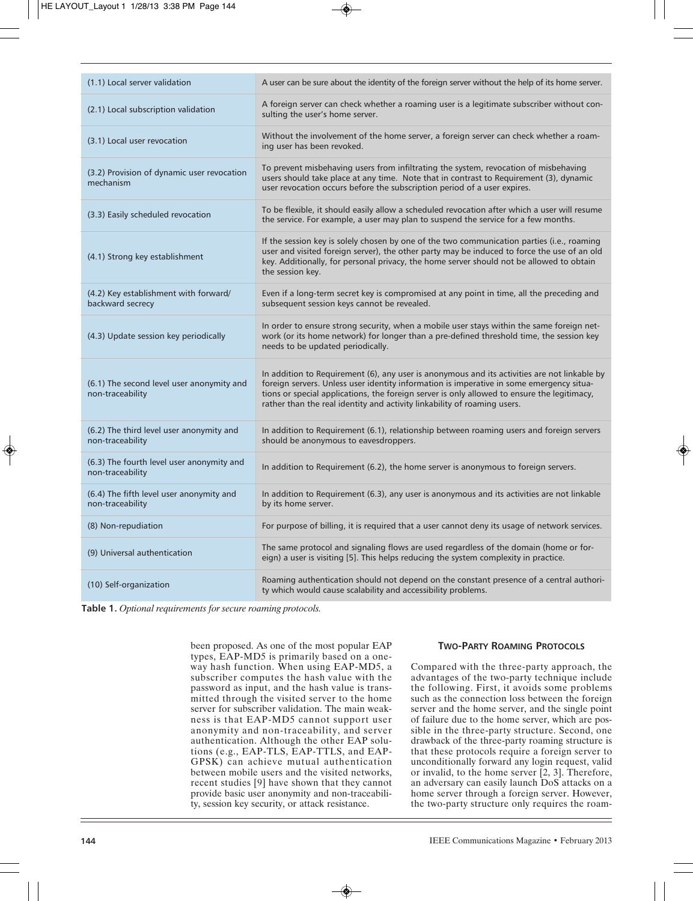| (1.1) Local server validation                                 | A user can be sure about the identity of the foreign server without the help of its home server.                                                                                                                                                                                                                                                                    |  |  |  |  |
|---------------------------------------------------------------|---------------------------------------------------------------------------------------------------------------------------------------------------------------------------------------------------------------------------------------------------------------------------------------------------------------------------------------------------------------------|--|--|--|--|
| (2.1) Local subscription validation                           | A foreign server can check whether a roaming user is a legitimate subscriber without con-<br>sulting the user's home server.                                                                                                                                                                                                                                        |  |  |  |  |
| (3.1) Local user revocation                                   | Without the involvement of the home server, a foreign server can check whether a roam-<br>ing user has been revoked.                                                                                                                                                                                                                                                |  |  |  |  |
| (3.2) Provision of dynamic user revocation<br>mechanism       | To prevent misbehaving users from infiltrating the system, revocation of misbehaving<br>users should take place at any time. Note that in contrast to Requirement (3), dynamic<br>user revocation occurs before the subscription period of a user expires.                                                                                                          |  |  |  |  |
| (3.3) Easily scheduled revocation                             | To be flexible, it should easily allow a scheduled revocation after which a user will resume<br>the service. For example, a user may plan to suspend the service for a few months.                                                                                                                                                                                  |  |  |  |  |
| (4.1) Strong key establishment                                | If the session key is solely chosen by one of the two communication parties (i.e., roaming<br>user and visited foreign server), the other party may be induced to force the use of an old<br>key. Additionally, for personal privacy, the home server should not be allowed to obtain<br>the session key.                                                           |  |  |  |  |
| (4.2) Key establishment with forward/<br>backward secrecy     | Even if a long-term secret key is compromised at any point in time, all the preceding and<br>subsequent session keys cannot be revealed.                                                                                                                                                                                                                            |  |  |  |  |
|                                                               | In order to ensure strong security, when a mobile user stays within the same foreign net-<br>work (or its home network) for longer than a pre-defined threshold time, the session key                                                                                                                                                                               |  |  |  |  |
| (4.3) Update session key periodically                         | needs to be updated periodically.                                                                                                                                                                                                                                                                                                                                   |  |  |  |  |
| (6.1) The second level user anonymity and<br>non-traceability | In addition to Requirement (6), any user is anonymous and its activities are not linkable by<br>foreign servers. Unless user identity information is imperative in some emergency situa-<br>tions or special applications, the foreign server is only allowed to ensure the legitimacy,<br>rather than the real identity and activity linkability of roaming users. |  |  |  |  |
| (6.2) The third level user anonymity and<br>non-traceability  | In addition to Requirement (6.1), relationship between roaming users and foreign servers<br>should be anonymous to eavesdroppers.                                                                                                                                                                                                                                   |  |  |  |  |
| (6.3) The fourth level user anonymity and<br>non-traceability | In addition to Requirement (6.2), the home server is anonymous to foreign servers.                                                                                                                                                                                                                                                                                  |  |  |  |  |
| (6.4) The fifth level user anonymity and<br>non-traceability  | In addition to Requirement (6.3), any user is anonymous and its activities are not linkable<br>by its home server.                                                                                                                                                                                                                                                  |  |  |  |  |
| (8) Non-repudiation                                           | For purpose of billing, it is required that a user cannot deny its usage of network services.                                                                                                                                                                                                                                                                       |  |  |  |  |
| (9) Universal authentication                                  | The same protocol and signaling flows are used regardless of the domain (home or for-<br>eign) a user is visiting [5]. This helps reducing the system complexity in practice.                                                                                                                                                                                       |  |  |  |  |

**Table 1.** *Optional requirements for secure roaming protocols.*

been proposed. As one of the most popular EAP types, EAP-MD5 is primarily based on a oneway hash function. When using EAP-MD5, a subscriber computes the hash value with the password as input, and the hash value is transmitted through the visited server to the home server for subscriber validation. The main weakness is that EAP-MD5 cannot support user anonymity and non-traceability, and server authentication. Although the other EAP solutions (e.g., EAP-TLS, EAP-TTLS, and EAP-GPSK) can achieve mutual authentication between mobile users and the visited networks, recent studies [9] have shown that they cannot provide basic user anonymity and non-traceability, session key security, or attack resistance.

# **TWO-PARTY ROAMING PROTOCOLS**

Compared with the three-party approach, the advantages of the two-party technique include the following. First, it avoids some problems such as the connection loss between the foreign server and the home server, and the single point of failure due to the home server, which are possible in the three-party structure. Second, one drawback of the three-party roaming structure is that these protocols require a foreign server to unconditionally forward any login request, valid or invalid, to the home server [2, 3]. Therefore, an adversary can easily launch DoS attacks on a home server through a foreign server. However, the two-party structure only requires the roam-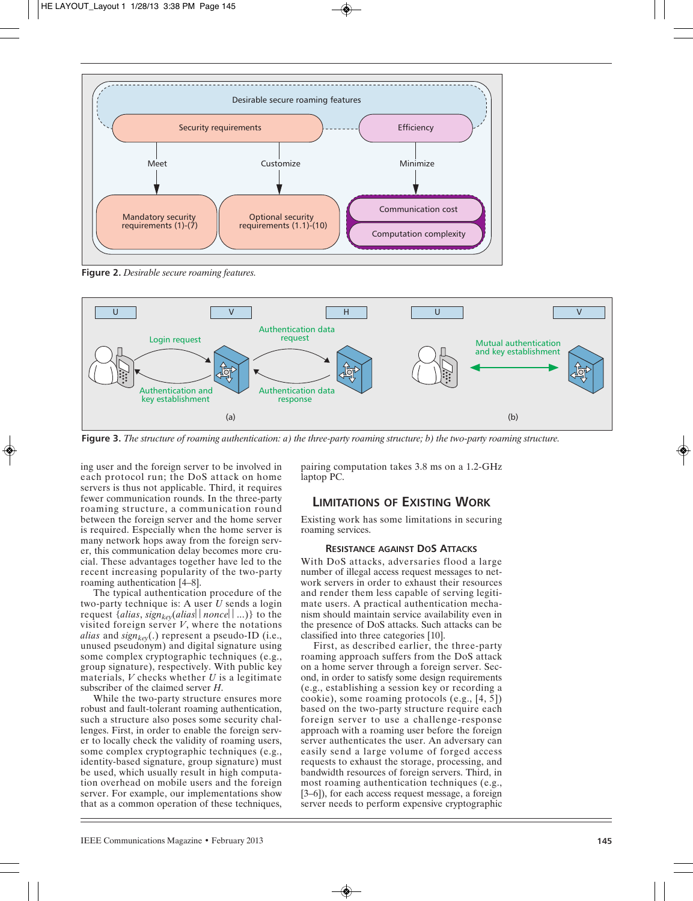

**Figure 2.** *Desirable secure roaming features.*



**Figure 3.** *The structure of roaming authentication: a) the three-party roaming structure; b) the two-party roaming structure.*

ing user and the foreign server to be involved in each protocol run; the DoS attack on home servers is thus not applicable. Third, it requires fewer communication rounds. In the three-party roaming structure, a communication round between the foreign server and the home server is required. Especially when the home server is many network hops away from the foreign server, this communication delay becomes more crucial. These advantages together have led to the recent increasing popularity of the two-party roaming authentication [4–8].

The typical authentication procedure of the two-party technique is: A user *U* sends a login request  $\{alias, sign_{key}(alias \mid noncel \mid ...)\}$  to the visited foreign server  $V$ , where the notations *alias* and  $sign_{key}(.)$  represent a pseudo-ID (i.e., unused pseudonym) and digital signature using some complex cryptographic techniques (e.g., group signature), respectively. With public key materials, *V* checks whether *U* is a legitimate subscriber of the claimed server *H*.

While the two-party structure ensures more robust and fault-tolerant roaming authentication, such a structure also poses some security challenges. First, in order to enable the foreign server to locally check the validity of roaming users, some complex cryptographic techniques (e.g., identity-based signature, group signature) must be used, which usually result in high computation overhead on mobile users and the foreign server. For example, our implementations show that as a common operation of these techniques, pairing computation takes 3.8 ms on a 1.2-GHz laptop PC.

# **LIMITATIONS OF EXISTING WORK**

Existing work has some limitations in securing roaming services.

## **RESISTANCE AGAINST DOS ATTACKS**

With DoS attacks, adversaries flood a large number of illegal access request messages to network servers in order to exhaust their resources and render them less capable of serving legitimate users. A practical authentication mechanism should maintain service availability even in the presence of DoS attacks. Such attacks can be classified into three categories [10].

First, as described earlier, the three-party roaming approach suffers from the DoS attack on a home server through a foreign server. Second, in order to satisfy some design requirements (e.g., establishing a session key or recording a cookie), some roaming protocols (e.g., [4, 5]) based on the two-party structure require each foreign server to use a challenge-response approach with a roaming user before the foreign server authenticates the user. An adversary can easily send a large volume of forged access requests to exhaust the storage, processing, and bandwidth resources of foreign servers. Third, in most roaming authentication techniques (e.g., [3–6]), for each access request message, a foreign server needs to perform expensive cryptographic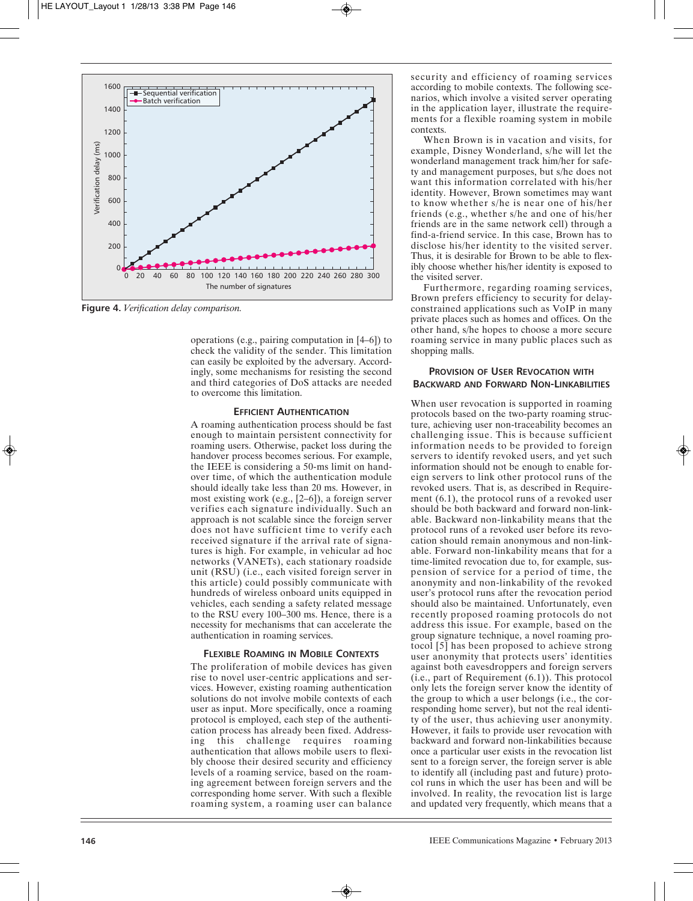

**Figure 4.** *Verification delay comparison.*

operations (e.g., pairing computation in [4–6]) to check the validity of the sender. This limitation can easily be exploited by the adversary. Accordingly, some mechanisms for resisting the second and third categories of DoS attacks are needed to overcome this limitation.

## **EFFICIENT AUTHENTICATION**

A roaming authentication process should be fast enough to maintain persistent connectivity for roaming users. Otherwise, packet loss during the handover process becomes serious. For example, the IEEE is considering a 50-ms limit on hand over time, of which the authentication module should ideally take less than 20 ms. However, in most existing work (e.g., [2–6]), a foreign server verifies each signature individually. Such an approach is not scalable since the foreign server does not have sufficient time to verify each received signature if the arrival rate of signatures is high. For example, in vehicular ad hoc networks (VANETs), each stationary roadside unit (RSU) (i.e., each visited foreign server in this article) could possibly communicate with hundreds of wireless onboard units equipped in vehicles, each sending a safety related message to the RSU every 100–300 ms. Hence, there is a necessity for mechanisms that can accelerate the authentication in roaming services.

## **FLEXIBLE ROAMING IN MOBILE CONTEXTS**

The proliferation of mobile devices has given rise to novel user-centric applications and services. However, existing roaming authentication solutions do not involve mobile contexts of each user as input. More specifically, once a roaming protocol is employed, each step of the authentication process has already been fixed. Addressing this challenge requires roaming authentication that allows mobile users to flexibly choose their desired security and efficiency levels of a roaming service, based on the roaming agreement between foreign servers and the corresponding home server. With such a flexible roaming system, a roaming user can balance security and efficiency of roaming services according to mobile contexts. The following scenarios, which involve a visited server operating in the application layer, illustrate the requirements for a flexible roaming system in mobile contexts.

When Brown is in vacation and visits, for example, Disney Wonderland, s/he will let the wonderland management track him/her for safety and management purposes, but s/he does not want this information correlated with his/her identity. However, Brown sometimes may want to know whether s/he is near one of his/her friends (e.g., whether s/he and one of his/her friends are in the same network cell) through a find-a-friend service. In this case, Brown has to disclose his/her identity to the visited server. Thus, it is desirable for Brown to be able to flexibly choose whether his/her identity is exposed to the visited server.

Furthermore, regarding roaming services, Brown prefers efficiency to security for delayconstrained applications such as VoIP in many private places such as homes and offices. On the other hand, s/he hopes to choose a more secure roaming service in many public places such as shopping malls.

## **PROVISION OF USER REVOCATION WITH BACKWARD AND FORWARD NON-LINKABILITIES**

When user revocation is supported in roaming protocols based on the two-party roaming structure, achieving user non-traceability becomes an challenging issue. This is because sufficient information needs to be provided to foreign servers to identify revoked users, and yet such information should not be enough to enable foreign servers to link other protocol runs of the revoked users. That is, as described in Requirement (6.1), the protocol runs of a revoked user should be both backward and forward non-linkable. Backward non-linkability means that the protocol runs of a revoked user before its revocation should remain anonymous and non-linkable. Forward non-linkability means that for a time-limited revocation due to, for example, suspension of service for a period of time, the anonymity and non-linkability of the revoked user's protocol runs after the revocation period should also be maintained. Unfortunately, even recently proposed roaming protocols do not address this issue. For example, based on the group signature technique, a novel roaming protocol [5] has been proposed to achieve strong user anonymity that protects users' identities against both eavesdroppers and foreign servers (i.e., part of Requirement (6.1)). This protocol only lets the foreign server know the identity of the group to which a user belongs (i.e., the corresponding home server), but not the real identity of the user, thus achieving user anonymity. However, it fails to provide user revocation with backward and forward non-linkabilities because once a particular user exists in the revocation list sent to a foreign server, the foreign server is able to identify all (including past and future) protocol runs in which the user has been and will be involved. In reality, the revocation list is large and updated very frequently, which means that a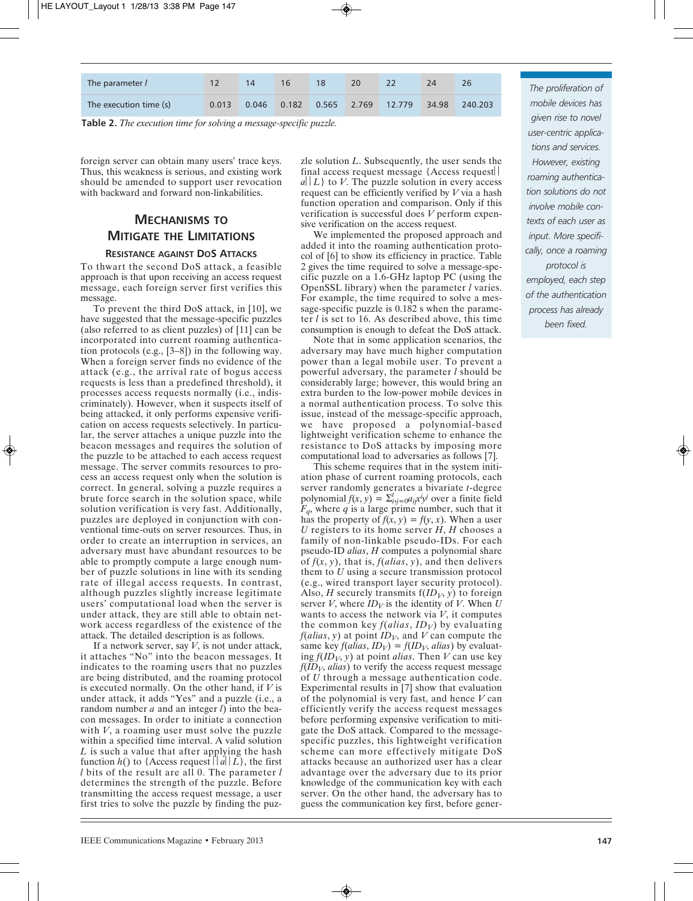| The parameter /        | 14 | 16 | 18 | 20 |                                                    | 24 | 26 |
|------------------------|----|----|----|----|----------------------------------------------------|----|----|
| The execution time (s) |    |    |    |    | 0.013 0.046 0.182 0.565 2.769 12.779 34.98 240.203 |    |    |

**Table 2.** *The execution time for solving a message-specific puzzle.*

foreign server can obtain many users' trace keys. Thus, this weakness is serious, and existing work should be amended to support user revocation with backward and forward non-linkabilities.

# **MECHANISMS TO MITIGATE THE LIMITATIONS**

## **RESISTANCE AGAINST DOS ATTACKS**

To thwart the second DoS attack, a feasible approach is that upon receiving an access request message, each foreign server first verifies this message.

To prevent the third DoS attack, in [10], we have suggested that the message-specific puzzles (also referred to as client puzzles) of [11] can be incorporated into current roaming authentication protocols (e.g., [3–8]) in the following way. When a foreign server finds no evidence of the attack (e.g., the arrival rate of bogus access requests is less than a predefined threshold), it processes access requests normally (i.e., indiscriminately). However, when it suspects itself of being attacked, it only performs expensive verification on access requests selectively. In particular, the server attaches a unique puzzle into the beacon messages and requires the solution of the puzzle to be attached to each access request message. The server commits resources to process an access request only when the solution is correct. In general, solving a puzzle requires a brute force search in the solution space, while solution verification is very fast. Additionally, puzzles are deployed in conjunction with conventional time-outs on server resources. Thus, in order to create an interruption in services, an adversary must have abundant resources to be able to promptly compute a large enough number of puzzle solutions in line with its sending rate of illegal access requests. In contrast, although puzzles slightly increase legitimate users' computational load when the server is under attack, they are still able to obtain network access regardless of the existence of the attack. The detailed description is as follows.

If a network server, say  $V$ , is not under attack, it attaches "No" into the beacon messages. It indicates to the roaming users that no puzzles are being distributed, and the roaming protocol is executed normally. On the other hand, if *V* is under attack, it adds "Yes" and a puzzle (i.e., a random number *a* and an integer *l*) into the beacon messages. In order to initiate a connection with *V*, a roaming user must solve the puzzle within a specified time interval. A valid solution *L* is such a value that after applying the hash function *h*() to {Access request  $\left|\left| \vec{a} \right| \right| \overline{L}$ }, the first *l* bits of the result are all 0. The parameter *l* determines the strength of the puzzle. Before transmitting the access request message, a user first tries to solve the puzzle by finding the puz-

zle solution *L*. Subsequently, the user sends the final access request message  ${Access request}$  $a|L$  to *V*. The puzzle solution in every access request can be efficiently verified by *V* via a hash function operation and comparison. Only if this verification is successful does *V* perform expensive verification on the access request.

We implemented the proposed approach and added it into the roaming authentication protocol of [6] to show its efficiency in practice. Table 2 gives the time required to solve a message-specific puzzle on a 1.6-GHz laptop PC (using the OpenSSL library) when the parameter *l* varies. For example, the time required to solve a message-specific puzzle is 0.182 s when the parameter *l* is set to 16. As described above, this time consumption is enough to defeat the DoS attack.

Note that in some application scenarios, the adversary may have much higher computation power than a legal mobile user. To prevent a powerful adversary, the parameter *l* should be considerably large; however, this would bring an extra burden to the low-power mobile devices in a normal authentication process. To solve this issue, instead of the message-specific approach, we have proposed a polynomial-based lightweight verification scheme to enhance the resistance to DoS attacks by imposing more computational load to adversaries as follows [7].

This scheme requires that in the system initiation phase of current roaming protocols, each server randomly generates a bivariate *t*-degree polynomial  $f(x, y) = \sum_{i=1}^{t} a_{ij}x^i y^j$  over a finite field  $F_q$ , where q is a large prime number, such that it has the property of  $f(x, y) = f(y, x)$ . When a user *U* registers to its home server *H*, *H* chooses a family of non-linkable pseudo-IDs. For each pseudo-ID *alias*, *H* computes a polynomial share of  $f(x, y)$ , that is,  $f(alias, y)$ , and then delivers them to *U* using a secure transmission protocol (e.g., wired transport layer security protocol). Also, *H* securely transmits  $f(ID_V, y)$  to foreign server *V*, where  $ID_V$  is the identity of *V*. When *U* wants to access the network via *V*, it computes the common key  $f(alias, ID_V)$  by evaluating  $f(alias, y)$  at point  $ID_V$ , and  $V$  can compute the same key  $f(alias, ID_V) = f(ID_V, alias)$  by evaluating  $f(ID_V, y)$  at point *alias*. Then *V* can use key  $f(ID_V, alias)$  to verify the access request message of *U* through a message authentication code. Experimental results in [7] show that evaluation of the polynomial is very fast, and hence *V* can efficiently verify the access request messages before performing expensive verification to mitigate the DoS attack. Compared to the messagespecific puzzles, this lightweight verification scheme can more effectively mitigate DoS attacks because an authorized user has a clear advantage over the adversary due to its prior knowledge of the communication key with each server. On the other hand, the adversary has to guess the communication key first, before gener-

*The proliferation of mobile devices has given rise to novel user-centric applications and services. However, existing roaming authentication solutions do not involve mobile contexts of each user as input. More specifically, once a roaming protocol is employed, each step of the authentication process has already been fixed.*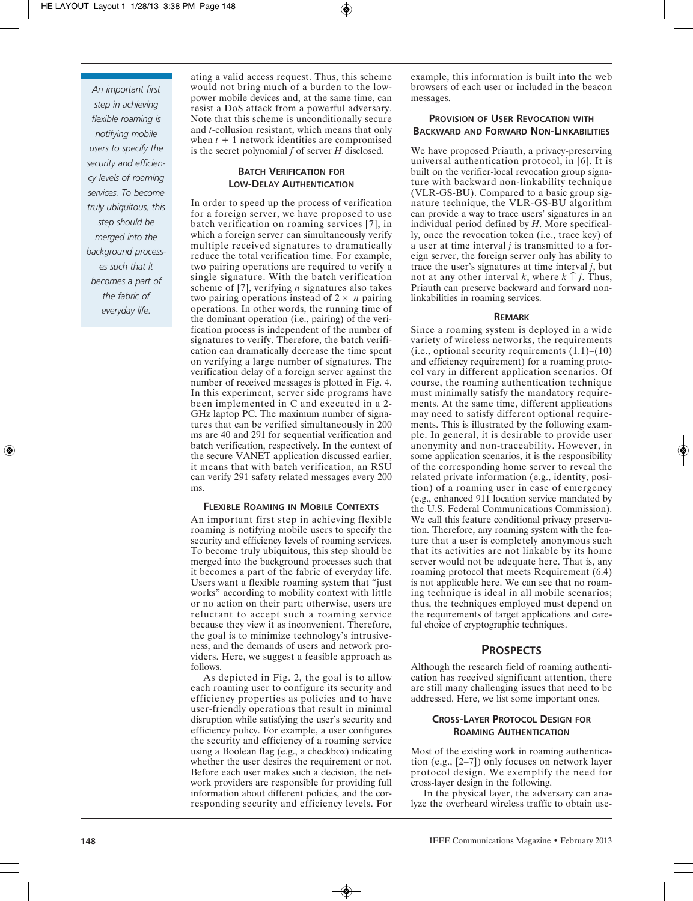*An important first step in achieving flexible roaming is notifying mobile users to specify the security and efficiency levels of roaming services. To become truly ubiquitous, this step should be merged into the background processes such that it becomes a part of the fabric of everyday life.*

ating a valid access request. Thus, this scheme would not bring much of a burden to the lowpower mobile devices and, at the same time, can resist a DoS attack from a powerful adversary. Note that this scheme is unconditionally secure and *t*-collusion resistant, which means that only when  $t + 1$  network identities are compromised is the secret polynomial *f* of server *H* disclosed.

# **BATCH VERIFICATION FOR LOW-DELAY AUTHENTICATION**

In order to speed up the process of verification for a foreign server, we have proposed to use batch verification on roaming services [7], in which a foreign server can simultaneously verify multiple received signatures to dramatically reduce the total verification time. For example, two pairing operations are required to verify a single signature. With the batch verification scheme of [7], verifying *n* signatures also takes two pairing operations instead of  $2 \times n$  pairing operations. In other words, the running time of the dominant operation (i.e., pairing) of the verification process is independent of the number of signatures to verify. Therefore, the batch verification can dramatically decrease the time spent on verifying a large number of signatures. The verification delay of a foreign server against the number of received messages is plotted in Fig. 4. In this experiment, server side programs have been implemented in C and executed in a 2- GHz laptop PC. The maximum number of signatures that can be verified simultaneously in 200 ms are 40 and 291 for sequential verification and batch verification, respectively. In the context of the secure VANET application discussed earlier, it means that with batch verification, an RSU can verify 291 safety related messages every 200 ms.

## **FLEXIBLE ROAMING IN MOBILE CONTEXTS**

An important first step in achieving flexible roaming is notifying mobile users to specify the security and efficiency levels of roaming services. To become truly ubiquitous, this step should be merged into the background processes such that it becomes a part of the fabric of everyday life. Users want a flexible roaming system that "just works" according to mobility context with little or no action on their part; otherwise, users are reluctant to accept such a roaming service because they view it as inconvenient. Therefore, the goal is to minimize technology's intrusiveness, and the demands of users and network providers. Here, we suggest a feasible approach as follows.

As depicted in Fig. 2, the goal is to allow each roaming user to configure its security and efficiency properties as policies and to have user-friendly operations that result in minimal disruption while satisfying the user's security and efficiency policy. For example, a user configures the security and efficiency of a roaming service using a Boolean flag (e.g., a checkbox) indicating whether the user desires the requirement or not. Before each user makes such a decision, the network providers are responsible for providing full information about different policies, and the corresponding security and efficiency levels. For

example, this information is built into the web browsers of each user or included in the beacon messages.

## **PROVISION OF USER REVOCATION WITH BACKWARD AND FORWARD NON-LINKABILITIES**

We have proposed Priauth, a privacy-preserving universal authentication protocol, in [6]. It is built on the verifier-local revocation group signature with backward non-linkability technique (VLR-GS-BU). Compared to a basic group signature technique, the VLR-GS-BU algorithm can provide a way to trace users' signatures in an individual period defined by *H*. More specifically, once the revocation token (i.e., trace key) of a user at time interval *j* is transmitted to a foreign server, the foreign server only has ability to trace the user's signatures at time interval *j*, but not at any other interval *k*, where  $k \uparrow i$ . Thus, Priauth can preserve backward and forward nonlinkabilities in roaming services.

## **REMARK**

Since a roaming system is deployed in a wide variety of wireless networks, the requirements (i.e., optional security requirements (1.1)–(10) and efficiency requirement) for a roaming protocol vary in different application scenarios. Of course, the roaming authentication technique must minimally satisfy the mandatory requirements. At the same time, different applications may need to satisfy different optional requirements. This is illustrated by the following example. In general, it is desirable to provide user anonymity and non-traceability. However, in some application scenarios, it is the responsibility of the corresponding home server to reveal the related private information (e.g., identity, position) of a roaming user in case of emergency (e.g., enhanced 911 location service mandated by the U.S. Federal Communications Commission). We call this feature conditional privacy preservation. Therefore, any roaming system with the feature that a user is completely anonymous such that its activities are not linkable by its home server would not be adequate here. That is, any roaming protocol that meets Requirement (6.4) is not applicable here. We can see that no roaming technique is ideal in all mobile scenarios; thus, the techniques employed must depend on the requirements of target applications and careful choice of cryptographic techniques.

# **PROSPECTS**

Although the research field of roaming authentication has received significant attention, there are still many challenging issues that need to be addressed. Here, we list some important ones.

## **CROSS-LAYER PROTOCOL DESIGN FOR ROAMING AUTHENTICATION**

Most of the existing work in roaming authentication (e.g., [2–7]) only focuses on network layer protocol design. We exemplify the need for cross-layer design in the following.

In the physical layer, the adversary can analyze the overheard wireless traffic to obtain use-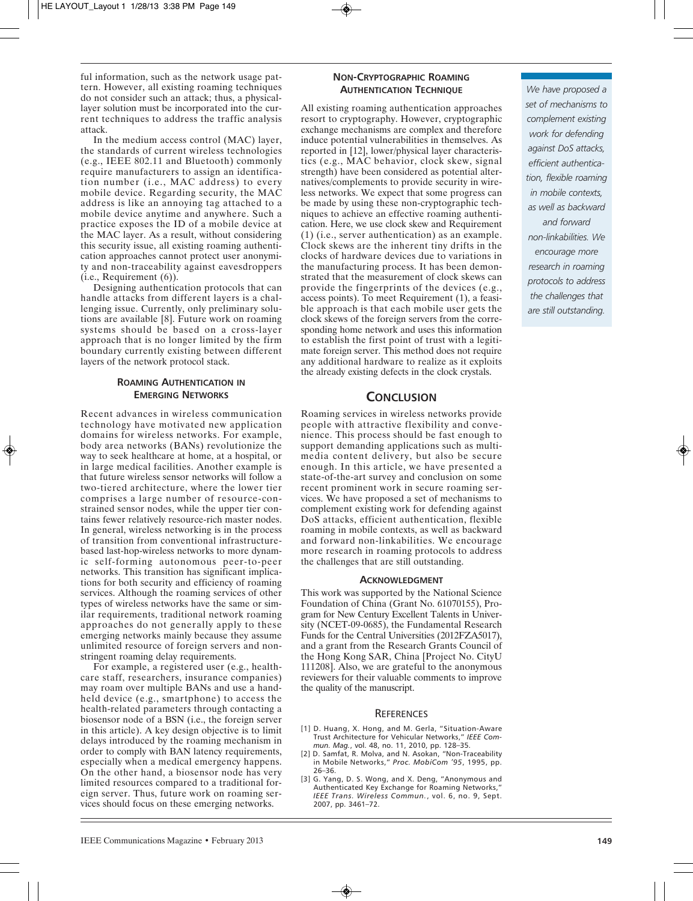ful information, such as the network usage pattern. However, all existing roaming techniques do not consider such an attack; thus, a physicallayer solution must be incorporated into the current techniques to address the traffic analysis attack.

In the medium access control (MAC) layer, the standards of current wireless technologies (e.g., IEEE 802.11 and Bluetooth) commonly require manufacturers to assign an identification number (i.e., MAC address) to every mobile device. Regarding security, the MAC address is like an annoying tag attached to a mobile device anytime and anywhere. Such a practice exposes the ID of a mobile device at the MAC layer. As a result, without considering this security issue, all existing roaming authentication approaches cannot protect user anonymity and non-traceability against eavesdroppers (i.e., Requirement (6)).

Designing authentication protocols that can handle attacks from different layers is a challenging issue. Currently, only preliminary solutions are available [8]. Future work on roaming systems should be based on a cross-layer approach that is no longer limited by the firm boundary currently existing between different layers of the network protocol stack.

## **ROAMING AUTHENTICATION IN EMERGING NETWORKS**

Recent advances in wireless communication technology have motivated new application domains for wireless networks. For example, body area networks (BANs) revolutionize the way to seek healthcare at home, at a hospital, or in large medical facilities. Another example is that future wireless sensor networks will follow a two-tiered architecture, where the lower tier comprises a large number of resource-constrained sensor nodes, while the upper tier contains fewer relatively resource-rich master nodes. In general, wireless networking is in the process of transition from conventional infrastructurebased last-hop-wireless networks to more dynamic self-forming autonomous peer-to-peer networks. This transition has significant implications for both security and efficiency of roaming services. Although the roaming services of other types of wireless networks have the same or similar requirements, traditional network roaming approaches do not generally apply to these emerging networks mainly because they assume unlimited resource of foreign servers and nonstringent roaming delay requirements.

For example, a registered user (e.g., healthcare staff, researchers, insurance companies) may roam over multiple BANs and use a handheld device (e.g., smartphone) to access the health-related parameters through contacting a biosensor node of a BSN (i.e., the foreign server in this article). A key design objective is to limit delays introduced by the roaming mechanism in order to comply with BAN latency requirements, especially when a medical emergency happens. On the other hand, a biosensor node has very limited resources compared to a traditional foreign server. Thus, future work on roaming services should focus on these emerging networks.

## **NON-CRYPTOGRAPHIC ROAMING AUTHENTICATION TECHNIQUE**

All existing roaming authentication approaches resort to cryptography. However, cryptographic exchange mechanisms are complex and therefore induce potential vulnerabilities in themselves. As reported in [12], lower/physical layer characteristics (e.g., MAC behavior, clock skew, signal strength) have been considered as potential alternatives/complements to provide security in wireless networks. We expect that some progress can be made by using these non-cryptographic techniques to achieve an effective roaming authentication. Here, we use clock skew and Requirement (1) (i.e., server authentication) as an example. Clock skews are the inherent tiny drifts in the clocks of hardware devices due to variations in the manufacturing process. It has been demonstrated that the measurement of clock skews can provide the fingerprints of the devices (e.g., access points). To meet Requirement (1), a feasible approach is that each mobile user gets the clock skews of the foreign servers from the corresponding home network and uses this information to establish the first point of trust with a legitimate foreign server. This method does not require any additional hardware to realize as it exploits the already existing defects in the clock crystals.

# **CONCLUSION**

Roaming services in wireless networks provide people with attractive flexibility and convenience. This process should be fast enough to support demanding applications such as multimedia content delivery, but also be secure enough. In this article, we have presented a state-of-the-art survey and conclusion on some recent prominent work in secure roaming services. We have proposed a set of mechanisms to complement existing work for defending against DoS attacks, efficient authentication, flexible roaming in mobile contexts, as well as backward and forward non-linkabilities. We encourage more research in roaming protocols to address the challenges that are still outstanding.

## **ACKNOWLEDGMENT**

This work was supported by the National Science Foundation of China (Grant No. 61070155), Program for New Century Excellent Talents in University (NCET-09-0685), the Fundamental Research Funds for the Central Universities (2012FZA5017), and a grant from the Research Grants Council of the Hong Kong SAR, China [Project No. CityU 111208]. Also, we are grateful to the anonymous reviewers for their valuable comments to improve the quality of the manuscript.

## **REFERENCES**

- [1] D. Huang, X. Hong, and M. Gerla, "Situation-Aware Trust Architecture for Vehicular Networks," *IEEE Commun. Mag.*, vol. 48, no. 11, 2010, pp. 128–35.
- [2] D. Samfat, R. Molva, and N. Asokan, "Non-Traceability in Mobile Networks," *Proc. MobiCom '95*, 1995, pp. 26–36.
- [3] G. Yang, D. S. Wong, and X. Deng, "Anonymous and Authenticated Key Exchange for Roaming Networks," *IEEE Trans. Wireless Commun.*, vol. 6, no. 9, Sept. 2007, pp. 3461–72.

*We have proposed a set of mechanisms to complement existing work for defending against DoS attacks, efficient authentication, flexible roaming in mobile contexts, as well as backward and forward non-linkabilities. We encourage more research in roaming protocols to address*

*the challenges that are still outstanding.*